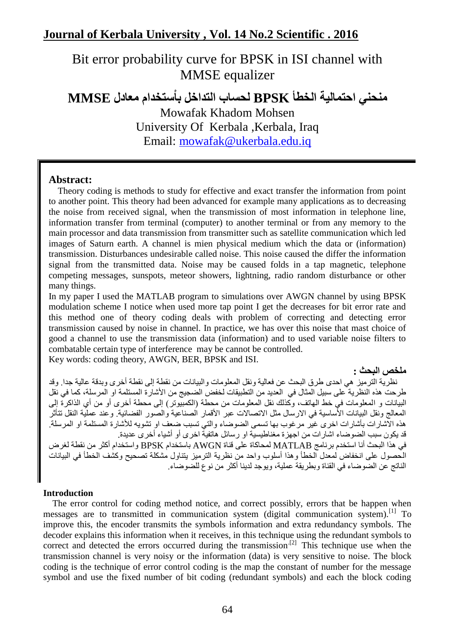# Bit error probability curve for BPSK in ISI channel with MMSE equalizer

**منحني احتمالية الخطأ BPSK لحساب التذاخل باْستخذام معادل MMSE**

Mowafak Khadom Mohsen University Of Kerbala, Kerbala, Iraq Email: [mowafak@ukerbala.edu.iq](mailto:mowafak@ukerbala.edu.iq)

### **Abstract:**

 Theory coding is methods to study for effective and exact transfer the information from point to another point. This theory had been advanced for example many applications as to decreasing the noise from received signal, when the transmission of most information in telephone line, information transfer from terminal (computer) to another terminal or from any memory to the main processor and data transmission from transmitter such as satellite communication which led images of Saturn earth. A channel is mien physical medium which the data or (information) transmission. Disturbances undesirable called noise. This noise caused the differ the information signal from the transmitted data. Noise may be caused folds in a tap magnetic, telephone competing messages, sunspots, meteor showers, lightning, radio random disturbance or other many things.

In my paper I used the MATLAB program to simulations over AWGN channel by using BPSK modulation scheme I notice when used more tap point I get the decreases for bit error rate and this method one of theory coding deals with problem of correcting and detecting error transmission caused by noise in channel. In practice, we has over this noise that mast choice of good a channel to use the transmission data (information) and to used variable noise filters to combatable certain type of interference may be cannot be controlled.

Key words: coding theory, AWGN, BER, BPSK and ISI.

#### **ملخص البحث :**

نظرية النرميز هي احدى طرق البحث عن فعالية ونقل المعلومات والبيانات من نقطة إلى نقطة أخرى وبدقة عالية جدا. وقد غزحت هذه النظرية ًعلى سبيل المثال في العديد من النطبيقات لخفض الضجيج من الأشارة المستلمة او المرسلة، كما في نقل البيانات و المعلومات فيّ خط الهاتف، وكذلك نقل المعلومات من محطة (الكمبيّوتر) إلى محطة أخرى أو من أي الذاكرة إلى المعالج ونقل البيانات الأساسية في الارسال مثل الاتصالات عبر ِ الأقمار الصناعية والصور الفضائية. وعند عملية النقل تتأثر هذه الآشارات بأشارات اخرى غيّر مرغوب بها تسمى الضوضاء والتي تسبب ضعف او تشويه للأشارة المستلمة او المرسلة<sub>.</sub> قد بكون سبب الضوضاء اشارات من اجهز ة مغناطيسية او رسائل هاتفيةٌ اخرِ ي أو أشياء أخرِ ي عديدة. في هذا البحث أنا استخدم برنامج MATLAB لمحاكاة على قناة AWGN باستخدام BPSK واستخدام أكثر من نقطة لغرض الْحصول على انخفاض لمعدل الخطأ وهذا أسلوب واحد من نظرية الترميز بِتناول مشكلة تصحيح وكشف الخطأ في البيانات الناتج عن الضوضاء في القناة وبطريقة عملية، ويوجد لدينا أكثر من نوع للضوضاء.

#### **Introduction**

 The error control for coding method notice, and correct possibly, errors that be happen when messages are to transmitted in communication system (digital communication system).<sup>[1]</sup> To improve this, the encoder transmits the symbols information and extra redundancy symbols. The decoder explains this information when it receives, in this technique using the redundant symbols to correct and detected the errors occurred during the transmission.<sup>[2]</sup> This technique use when the transmission channel is very noisy or the information (data) is very sensitive to noise. The block coding is the technique of error control coding is the map the constant of number for the message symbol and use the fixed number of bit coding (redundant symbols) and each the block coding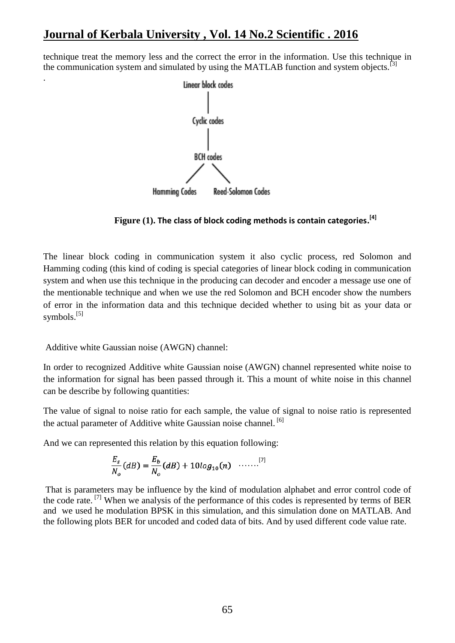# **Journal of Kerbala University , Vol. 14 No.2 Scientific . 2016**

technique treat the memory less and the correct the error in the information. Use this technique in the communication system and simulated by using the MATLAB function and system objects.<sup>[3]</sup>



 **Figure (1). The class of block coding methods is contain categories. [4]**

The linear block coding in communication system it also cyclic process, red Solomon and Hamming coding (this kind of coding is special categories of linear block coding in communication system and when use this technique in the producing can decoder and encoder a message use one of the mentionable technique and when we use the red Solomon and BCH encoder show the numbers of error in the information data and this technique decided whether to using bit as your data or symbols.<sup>[5]</sup>

Additive white Gaussian noise (AWGN) channel:

.

In order to recognized Additive white Gaussian noise (AWGN) channel represented white noise to the information for signal has been passed through it. This a mount of white noise in this channel can be describe by following quantities:

The value of signal to noise ratio for each sample, the value of signal to noise ratio is represented the actual parameter of Additive white Gaussian noise channel.<sup>[6]</sup>

And we can represented this relation by this equation following:

$$
\frac{E_s}{N_o}(dB) = \frac{E_b}{N_o}(dB) + 10log_{10}(n) \quad \ldots \ldots \ldots \tag{7}
$$

That is parameters may be influence by the kind of modulation alphabet and error control code of the code rate. <sup>[7]</sup> When we analysis of the performance of this codes is represented by terms of BER and we used he modulation BPSK in this simulation, and this simulation done on MATLAB. And the following plots BER for uncoded and coded data of bits. And by used different code value rate.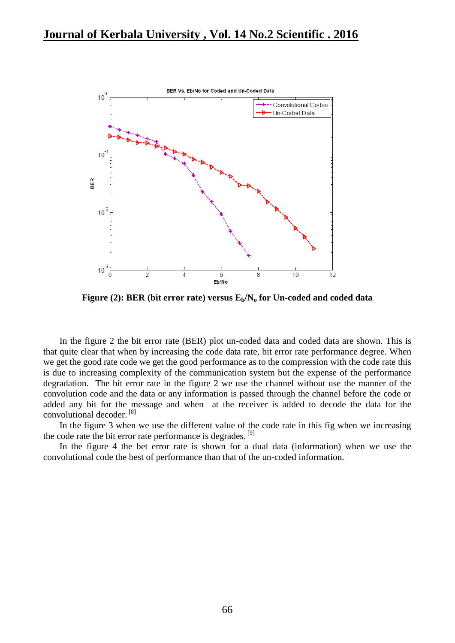

**Figure (2): BER (bit error rate) versus Eb/N<sup>o</sup> for Un-coded and coded data**

In the figure 2 the bit error rate (BER) plot un-coded data and coded data are shown. This is that quite clear that when by increasing the code data rate, bit error rate performance degree. When we get the good rate code we get the good performance as to the compression with the code rate this is due to increasing complexity of the communication system but the expense of the performance degradation. The bit error rate in the figure 2 we use the channel without use the manner of the convolution code and the data or any information is passed through the channel before the code or added any bit for the message and when at the receiver is added to decode the data for the convolutional decoder. [8]

In the figure 3 when we use the different value of the code rate in this fig when we increasing the code rate the bit error rate performance is degrades. <sup>[9]</sup>

In the figure 4 the bet error rate is shown for a dual data (information) when we use the convolutional code the best of performance than that of the un-coded information.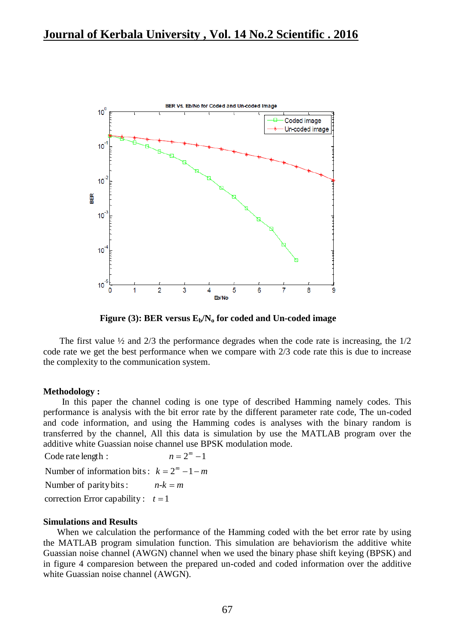

**Figure (3): BER versus Eb/N<sup>o</sup> for coded and Un-coded image**

The first value  $\frac{1}{2}$  and  $\frac{2}{3}$  the performance degrades when the code rate is increasing, the  $\frac{1}{2}$ code rate we get the best performance when we compare with 2/3 code rate this is due to increase the complexity to the communication system.

#### **Methodology :**

In this paper the channel coding is one type of described Hamming namely codes. This performance is analysis with the bit error rate by the different parameter rate code, The un-coded and code information, and using the Hamming codes is analyses with the binary random is transferred by the channel, All this data is simulation by use the MATLAB program over the additive white Guassian noise channel use BPSK modulation mode.

Number of parity bits: Number of information bits:  $k = 2^m - 1 - m$ Code rate length : *n-k m*  $n = 2^m$  –

correction Error capability :  $t = 1$ 

#### **Simulations and Results**

 When we calculation the performance of the Hamming coded with the bet error rate by using the MATLAB program simulation function. This simulation are behaviorism the additive white Guassian noise channel (AWGN) channel when we used the binary phase shift keying (BPSK) and in figure 4 comparesion between the prepared un-coded and coded information over the additive white Guassian noise channel (AWGN).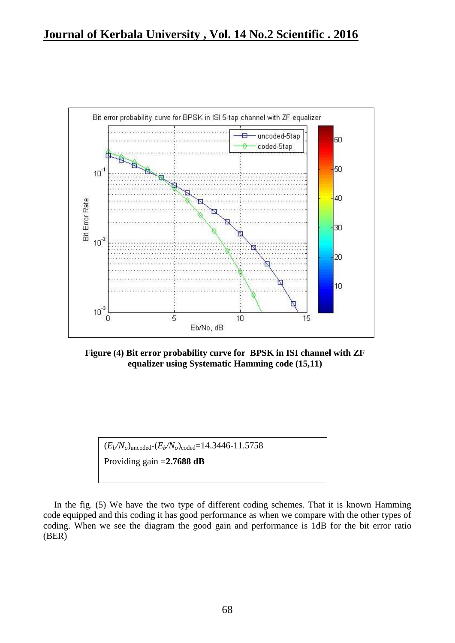

**Figure (4) Bit error probability curve for BPSK in ISI channel with ZF equalizer using Systematic Hamming code (15,11)**



In the fig. (5) We have the two type of different coding schemes. That it is known Hamming code equipped and this coding it has good performance as when we compare with the other types of coding. When we see the diagram the good gain and performance is 1dB for the bit error ratio (BER)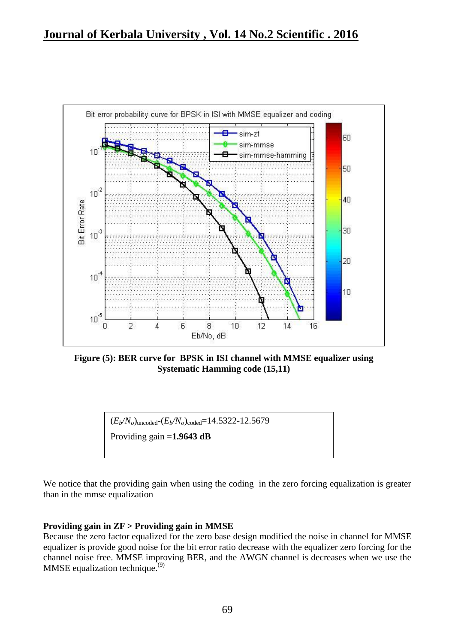

**Figure (5): BER curve for BPSK in ISI channel with MMSE equalizer using Systematic Hamming code (15,11)**

$$
(E_b/N_o)_{\text{uncoded}} - (E_b/N_o)_{\text{coded}} = 14.5322 - 12.5679
$$

Providing gain =**1.9643 dB**

We notice that the providing gain when using the coding in the zero forcing equalization is greater than in the mmse equalization

#### **Providing gain in ZF > Providing gain in MMSE**

Because the zero factor equalized for the zero base design modified the noise in channel for MMSE equalizer is provide good noise for the bit error ratio decrease with the equalizer zero forcing for the channel noise free. MMSE improving BER, and the AWGN channel is decreases when we use the MMSE equalization technique. $(9)$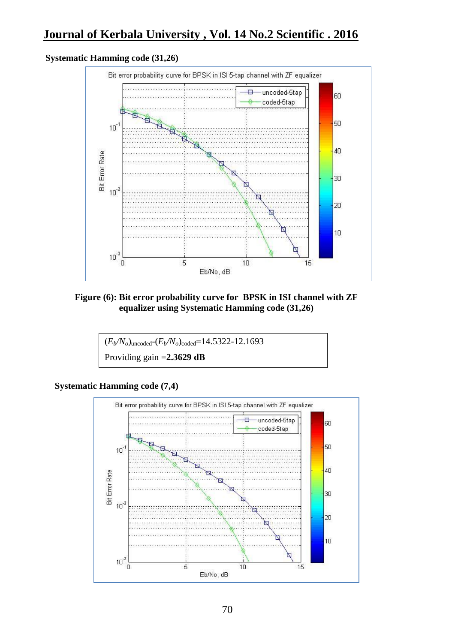# **Journal of Kerbala University , Vol. 14 No.2 Scientific . 2016**

#### **Systematic Hamming code (31,26)**



#### **Figure (6): Bit error probability curve for BPSK in ISI channel with ZF equalizer using Systematic Hamming code (31,26)**



### **Systematic Hamming code (7,4)**